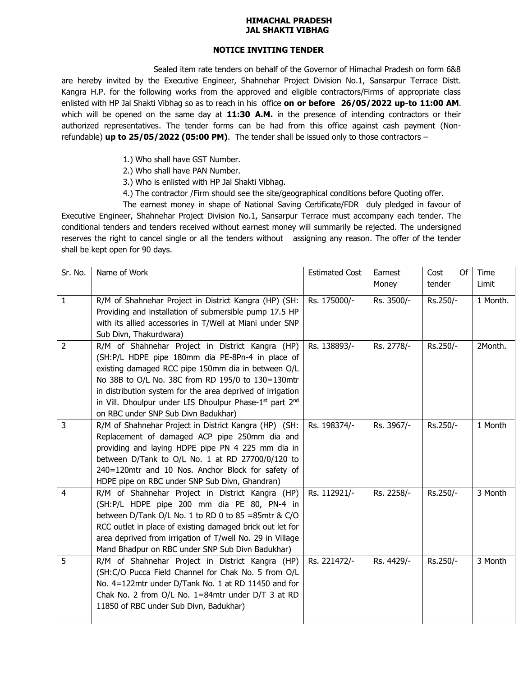## **HIMACHAL PRADESH JAL SHAKTI VIBHAG**

## **NOTICE INVITING TENDER**

Sealed item rate tenders on behalf of the Governor of Himachal Pradesh on form 6&8 are hereby invited by the Executive Engineer, Shahnehar Project Division No.1, Sansarpur Terrace Distt. Kangra H.P. for the following works from the approved and eligible contractors/Firms of appropriate class enlisted with HP Jal Shakti Vibhag so as to reach in his office **on or before 26/05/2022 up-to 11:00 AM**. which will be opened on the same day at **11:30 A.M.** in the presence of intending contractors or their authorized representatives. The tender forms can be had from this office against cash payment (Nonrefundable) **up to 25/05/2022 (05:00 PM)**. The tender shall be issued only to those contractors –

- 1.) Who shall have GST Number.
- 2.) Who shall have PAN Number.
- 3.) Who is enlisted with HP Jal Shakti Vibhag.
- 4.) The contractor /Firm should see the site/geographical conditions before Quoting offer.

The earnest money in shape of National Saving Certificate/FDR duly pledged in favour of Executive Engineer, Shahnehar Project Division No.1, Sansarpur Terrace must accompany each tender. The conditional tenders and tenders received without earnest money will summarily be rejected. The undersigned reserves the right to cancel single or all the tenders without assigning any reason. The offer of the tender shall be kept open for 90 days.

| Sr. No.        | Name of Work                                                                                                                                                                                                                                                                                                                                                                                            | <b>Estimated Cost</b> | Earnest<br>Money | Of<br>Cost<br>tender | Time<br>Limit |
|----------------|---------------------------------------------------------------------------------------------------------------------------------------------------------------------------------------------------------------------------------------------------------------------------------------------------------------------------------------------------------------------------------------------------------|-----------------------|------------------|----------------------|---------------|
| $\mathbf{1}$   | R/M of Shahnehar Project in District Kangra (HP) (SH:<br>Providing and installation of submersible pump 17.5 HP                                                                                                                                                                                                                                                                                         | Rs. 175000/-          | Rs. 3500/-       | Rs.250/-             | 1 Month.      |
|                | with its allied accessories in T/Well at Miani under SNP<br>Sub Divn, Thakurdwara)                                                                                                                                                                                                                                                                                                                      |                       |                  |                      |               |
| $\overline{2}$ | R/M of Shahnehar Project in District Kangra (HP)<br>(SH:P/L HDPE pipe 180mm dia PE-8Pn-4 in place of<br>existing damaged RCC pipe 150mm dia in between O/L<br>No 38B to O/L No. 38C from RD 195/0 to 130=130mtr<br>in distribution system for the area deprived of irrigation<br>in Vill. Dhoulpur under LIS Dhoulpur Phase-1 <sup>st</sup> part 2 <sup>nd</sup><br>on RBC under SNP Sub Divn Badukhar) | Rs. 138893/-          | Rs. 2778/-       | Rs.250/-             | 2Month.       |
| $\overline{3}$ | R/M of Shahnehar Project in District Kangra (HP) (SH:<br>Replacement of damaged ACP pipe 250mm dia and<br>providing and laying HDPE pipe PN 4 225 mm dia in<br>between D/Tank to O/L No. 1 at RD 27700/0/120 to<br>240=120mtr and 10 Nos. Anchor Block for safety of<br>HDPE pipe on RBC under SNP Sub Divn, Ghandran)                                                                                  | Rs. 198374/-          | Rs. 3967/-       | Rs.250/-             | 1 Month       |
| $\overline{4}$ | R/M of Shahnehar Project in District Kangra (HP)<br>(SH:P/L HDPE pipe 200 mm dia PE 80, PN-4 in<br>between D/Tank O/L No. 1 to RD 0 to 85 = 85mtr & C/O<br>RCC outlet in place of existing damaged brick out let for<br>area deprived from irrigation of T/well No. 29 in Village<br>Mand Bhadpur on RBC under SNP Sub Divn Badukhar)                                                                   | Rs. 112921/-          | Rs. 2258/-       | Rs.250/-             | 3 Month       |
| 5              | R/M of Shahnehar Project in District Kangra (HP)<br>(SH:C/O Pucca Field Channel for Chak No. 5 from O/L<br>No. 4=122mtr under D/Tank No. 1 at RD 11450 and for<br>Chak No. 2 from O/L No. 1=84mtr under D/T 3 at RD<br>11850 of RBC under Sub Divn, Badukhar)                                                                                                                                           | Rs. 221472/-          | Rs. 4429/-       | Rs.250/-             | 3 Month       |